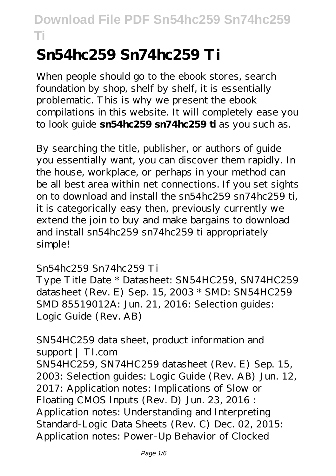# **Sn54hc259 Sn74hc259 Ti**

When people should go to the ebook stores, search foundation by shop, shelf by shelf, it is essentially problematic. This is why we present the ebook compilations in this website. It will completely ease you to look guide **sn54hc259 sn74hc259 ti** as you such as.

By searching the title, publisher, or authors of guide you essentially want, you can discover them rapidly. In the house, workplace, or perhaps in your method can be all best area within net connections. If you set sights on to download and install the sn54hc259 sn74hc259 ti, it is categorically easy then, previously currently we extend the join to buy and make bargains to download and install sn54hc259 sn74hc259 ti appropriately simple!

#### Sn54hc259 Sn74hc259 Ti

Type Title Date \* Datasheet: SN54HC259, SN74HC259 datasheet (Rev. E) Sep. 15, 2003 \* SMD: SN54HC259 SMD 85519012A: Jun. 21, 2016: Selection guides: Logic Guide (Rev. AB)

SN54HC259 data sheet, product information and support | TI.com SN54HC259, SN74HC259 datasheet (Rev. E) Sep. 15, 2003: Selection guides: Logic Guide (Rev. AB) Jun. 12, 2017: Application notes: Implications of Slow or Floating CMOS Inputs (Rev. D) Jun. 23, 2016 : Application notes: Understanding and Interpreting Standard-Logic Data Sheets (Rev. C) Dec. 02, 2015: Application notes: Power-Up Behavior of Clocked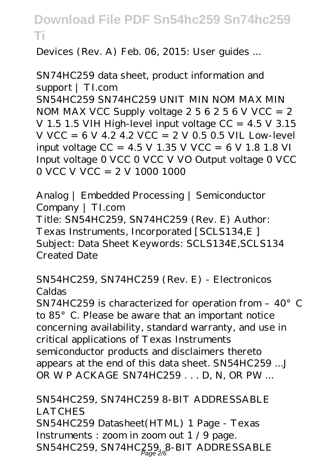Devices (Rev. A) Feb. 06, 2015: User guides ...

```
SN74HC259 data sheet, product information and
support | TI.com
SN54HC259 SN74HC259 UNIT MIN NOM MAX MIN
NOM MAX VCC Supply voltage 256256 V VCC = 2
V 1.5 1.5 VIH High-level input voltage CC = 4.5 V 3.15
V VCC = 6 V 4.2 4.2 VCC = 2 V 0.5 0.5 VIL Low-level
input voltage CC = 4.5 V 1.35 V VCC = 6 V 1.8 1.8 VI
Input voltage 0 VCC 0 VCC V VO Output voltage 0 VCC
0 VCC V VCC = 2 V 1000 1000
```
Analog | Embedded Processing | Semiconductor Company | TI.com Title: SN54HC259, SN74HC259 (Rev. E) Author: Texas Instruments, Incorporated [SCLS134,E ] Subject: Data Sheet Keywords: SCLS134E,SCLS134 Created Date

SN54HC259, SN74HC259 (Rev. E) - Electronicos Caldas

SN74HC259 is characterized for operation from -  $40^{\circ}$  C to 85°C. Please be aware that an important notice concerning availability, standard warranty, and use in critical applications of Texas Instruments semiconductor products and disclaimers thereto appears at the end of this data sheet. SN54HC259 ...J OR WP ACKAGE SN74HC259 . . . D, N, OR PW ...

SN54HC259, SN74HC259 8-BIT ADDRESSABLE **LATCHES** SN54HC259 Datasheet(HTML) 1 Page - Texas Instruments : zoom in zoom out 1 / 9 page. SN54HC259, SN74HC259, 8-BIT ADDRESSABLE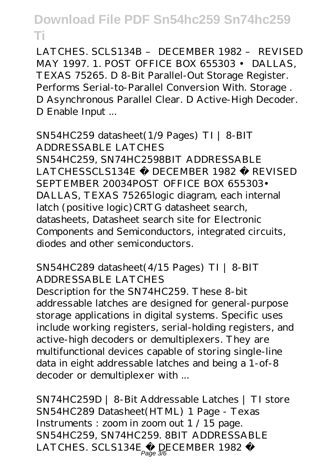LATCHES. SCLS134B – DECEMBER 1982 – REVISED MAY 1997. 1. POST OFFICE BOX 655303 • DALLAS, TEXAS 75265. D 8-Bit Parallel-Out Storage Register. Performs Serial-to-Parallel Conversion With. Storage . D Asynchronous Parallel Clear. D Active-High Decoder. D Enable Input ...

SN54HC259 datasheet(1/9 Pages) TI | 8-BIT ADDRESSABLE LATCHES SN54HC259, SN74HC2598BIT ADDRESSABLE LATCHESSCLS134E − DECEMBER 1982 − REVISED SEPTEMBER 20034POST OFFICE BOX 655303• DALLAS, TEXAS 75265logic diagram, each internal latch (positive logic) CRTG datasheet search, datasheets, Datasheet search site for Electronic Components and Semiconductors, integrated circuits, diodes and other semiconductors.

#### SN54HC289 datasheet(4/15 Pages) TI | 8-BIT ADDRESSABLE LATCHES

Description for the SN74HC259. These 8-bit addressable latches are designed for general-purpose storage applications in digital systems. Specific uses include working registers, serial-holding registers, and active-high decoders or demultiplexers. They are multifunctional devices capable of storing single-line data in eight addressable latches and being a 1-of-8 decoder or demultiplexer with ...

SN74HC259D | 8-Bit Addressable Latches | TI store SN54HC289 Datasheet(HTML) 1 Page - Texas Instruments : zoom in zoom out 1 / 15 page. SN54HC259, SN74HC259. 8BIT ADDRESSABLE LATCHES. SCLS134E  $-\text{DECEMBER}$  1982 −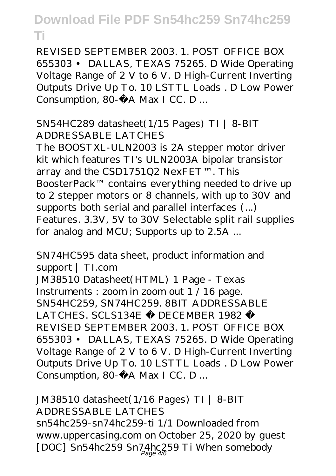REVISED SEPTEMBER 2003. 1. POST OFFICE BOX 655303 • DALLAS, TEXAS 75265. D Wide Operating Voltage Range of 2 V to 6 V. D High-Current Inverting Outputs Drive Up To. 10 LSTTL Loads . D Low Power Consumption, 80-µA Max I CC. D ...

#### SN54HC289 datasheet(1/15 Pages) TI | 8-BIT ADDRESSABLE LATCHES

The BOOSTXL-ULN2003 is 2A stepper motor driver kit which features TI's ULN2003A bipolar transistor array and the CSD1751Q2 NexFET™. This BoosterPack™ contains everything needed to drive up to 2 stepper motors or 8 channels, with up to 30V and supports both serial and parallel interfaces (...) Features. 3.3V, 5V to 30V Selectable split rail supplies for analog and MCU; Supports up to 2.5A ...

SN74HC595 data sheet, product information and support | TI.com JM38510 Datasheet(HTML) 1 Page - Texas Instruments : zoom in zoom out 1 / 16 page. SN54HC259, SN74HC259. 8BIT ADDRESSABLE LATCHES. SCLS134E − DECEMBER 1982 − REVISED SEPTEMBER 2003. 1. POST OFFICE BOX 655303 • DALLAS, TEXAS 75265. D Wide Operating Voltage Range of 2 V to 6 V. D High-Current Inverting Outputs Drive Up To. 10 LSTTL Loads . D Low Power Consumption, 80- $\mu$  A Max I CC. D ...

JM38510 datasheet(1/16 Pages) TI | 8-BIT ADDRESSABLE LATCHES sn54hc259-sn74hc259-ti 1/1 Downloaded from www.uppercasing.com on October 25, 2020 by guest [DOC] Sn54hc259 Sn74hc259 Ti When somebody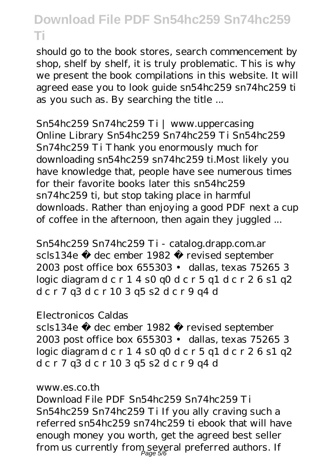should go to the book stores, search commencement by shop, shelf by shelf, it is truly problematic. This is why we present the book compilations in this website. It will agreed ease you to look guide sn54hc259 sn74hc259 ti as you such as. By searching the title ...

Sn54hc259 Sn74hc259 Ti | www.uppercasing Online Library Sn54hc259 Sn74hc259 Ti Sn54hc259 Sn74hc259 Ti Thank you enormously much for downloading sn54hc259 sn74hc259 ti.Most likely you have knowledge that, people have see numerous times for their favorite books later this sn54hc259 sn74hc259 ti, but stop taking place in harmful downloads. Rather than enjoying a good PDF next a cup of coffee in the afternoon, then again they juggled ...

Sn54hc259 Sn74hc259 Ti - catalog.drapp.com.ar scls134e − dec ember 1982 − revised september 2003 post office box 655303 • dallas, texas 75265 3 logic diagram d c r 1 4 s0 q0 d c r 5 q1 d c r 2 6 s1 q2 d c r 7 q3 d c r 10 3 q5 s2 d c r 9 q4 d

#### Electronicos Caldas

scls134e − dec ember 1982 − revised september 2003 post office box 655303 • dallas, texas 75265 3 logic diagram d c r 1 4 s0 q0 d c r 5 q1 d c r 2 6 s1 q2 d c r 7 q3 d c r 10 3 q5 s2 d c r 9 q4 d

#### www.es.co.th

Download File PDF Sn54hc259 Sn74hc259 Ti Sn54hc259 Sn74hc259 Ti If you ally craving such a referred sn54hc259 sn74hc259 ti ebook that will have enough money you worth, get the agreed best seller from us currently from several preferred authors. If